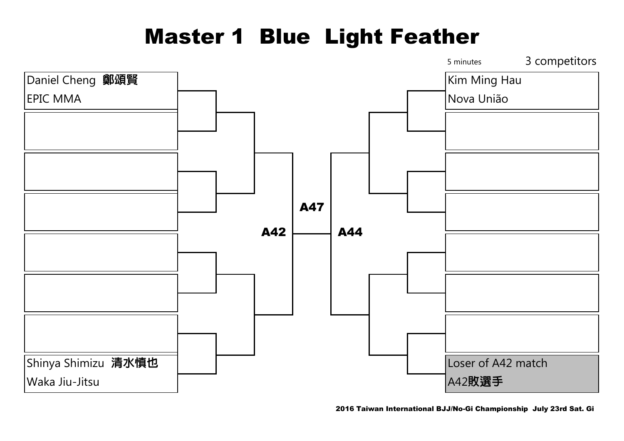# Master 1 Blue Light Feather

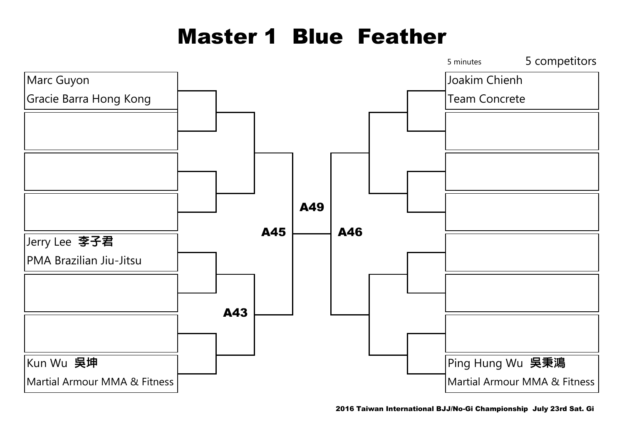# Master 1 Blue Feather

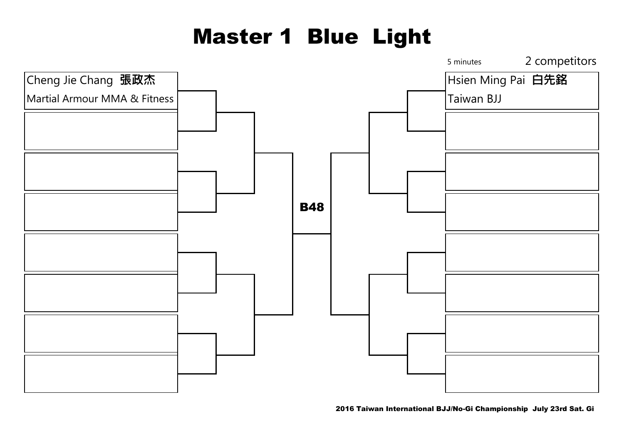# Master 1 Blue Light

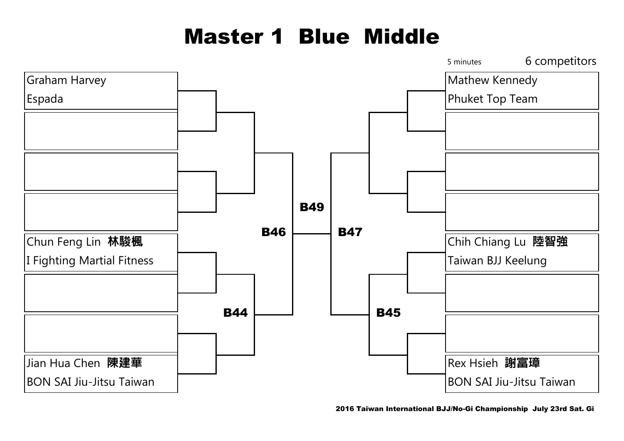# Master 1 Blue Middle